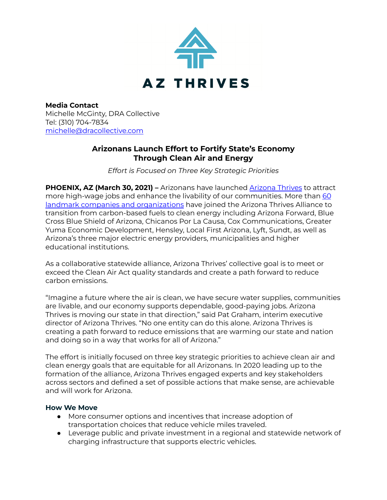

**Media Contact** Michelle McGinty, DRA Collective Tel: (310) 704-7834 [michelle@dracollective.com](mailto:michelle@dracollective.com)

# **Arizonans Launch Effort to Fortify State's Economy Through Clean Air and Energy**

*Effort is Focused on Three Key Strategic Priorities*

**PHOENIX, AZ (March 30, 2021) –** Arizonans have launched [Arizona](http://www.azthrives.org/) Thrives to attract more high-wage jobs and enhance the livability of our communities. More than [60](http://azthrives.org/whos-in/) landmark companies and [organizations](http://azthrives.org/whos-in/) have joined the Arizona Thrives Alliance to transition from carbon-based fuels to clean energy including Arizona Forward, Blue Cross Blue Shield of Arizona, Chicanos Por La Causa, Cox Communications, Greater Yuma Economic Development, Hensley, Local First Arizona, Lyft, Sundt, as well as Arizona's three major electric energy providers, municipalities and higher educational institutions.

As a collaborative statewide alliance, Arizona Thrives' collective goal is to meet or exceed the Clean Air Act quality standards and create a path forward to reduce carbon emissions.

"Imagine a future where the air is clean, we have secure water supplies, communities are livable, and our economy supports dependable, good-paying jobs. Arizona Thrives is moving our state in that direction," said Pat Graham, interim executive director of Arizona Thrives. "No one entity can do this alone. Arizona Thrives is creating a path forward to reduce emissions that are warming our state and nation and doing so in a way that works for all of Arizona."

The effort is initially focused on three key strategic priorities to achieve clean air and clean energy goals that are equitable for all Arizonans. In 2020 leading up to the formation of the alliance, Arizona Thrives engaged experts and key stakeholders across sectors and defined a set of possible actions that make sense, are achievable and will work for Arizona.

### **How We Move**

- More consumer options and incentives that increase adoption of transportation choices that reduce vehicle miles traveled.
- Leverage public and private investment in a regional and statewide network of charging infrastructure that supports electric vehicles.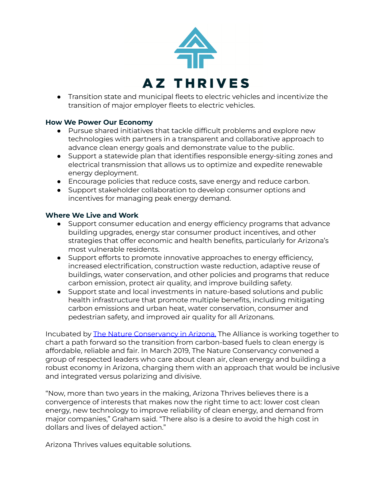

● Transition state and municipal fleets to electric vehicles and incentivize the transition of major employer fleets to electric vehicles.

### **How We Power Our Economy**

- Pursue shared initiatives that tackle difficult problems and explore new technologies with partners in a transparent and collaborative approach to advance clean energy goals and demonstrate value to the public.
- Support a statewide plan that identifies responsible energy-siting zones and electrical transmission that allows us to optimize and expedite renewable energy deployment.
- Encourage policies that reduce costs, save energy and reduce carbon.
- Support stakeholder collaboration to develop consumer options and incentives for managing peak energy demand.

# **Where We Live and Work**

- Support consumer education and energy efficiency programs that advance building upgrades, energy star consumer product incentives, and other strategies that offer economic and health benefits, particularly for Arizona's most vulnerable residents.
- Support efforts to promote innovative approaches to energy efficiency, increased electrification, construction waste reduction, adaptive reuse of buildings, water conservation, and other policies and programs that reduce carbon emission, protect air quality, and improve building safety.
- Support state and local investments in nature-based solutions and public health infrastructure that promote multiple benefits, including mitigating carbon emissions and urban heat, water conservation, consumer and pedestrian safety, and improved air quality for all Arizonans.

Incubated by The Nature [Conservancy](https://www.nature.org/en-us/about-us/where-we-work/united-states/arizona/) in Arizona, The Alliance is working together to chart a path forward so the transition from carbon-based fuels to clean energy is affordable, reliable and fair. In March 2019, The Nature Conservancy convened a group of respected leaders who care about clean air, clean energy and building a robust economy in Arizona, charging them with an approach that would be inclusive and integrated versus polarizing and divisive.

"Now, more than two years in the making, Arizona Thrives believes there is a convergence of interests that makes now the right time to act: lower cost clean energy, new technology to improve reliability of clean energy, and demand from major companies," Graham said. "There also is a desire to avoid the high cost in dollars and lives of delayed action."

Arizona Thrives values equitable solutions.